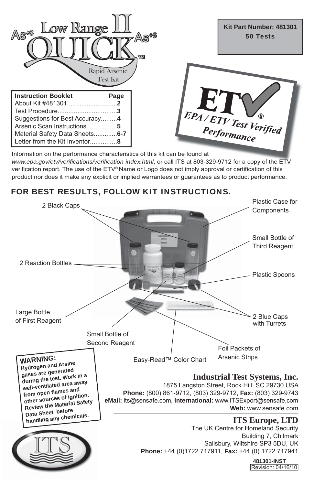

Information on the performance characteristics of this kit can be found at *www.epa.gov/etv/verifications/verification-index.html*, or call ITS at 803-329-9712 for a copy of the ETV verification report. The use of the ETV® Name or Logo does not imply approval or certification of this product nor does it make any explicit or implied warrantees or guarantees as to product performance.

## FOR BEST RESULTS, FOLLOW KIT INSTRUCTIONS.

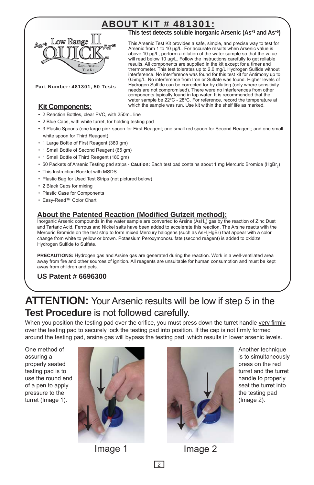# **ABOUT KIT # 481301:**



**This test detects soluble inorganic Arsenic (As+3 and As+5)**

This Arsenic Test Kit provides a safe, simple, and precise way to test for Arsenic from 1 to 10 μg/L. For accurate results when Arsenic value is above 10 μg/L, perform a dilution of the water sample so that the value will read below 10 μg/L. Follow the instructions carefully to get reliable results. All components are supplied in the kit except for a timer and thermometer. This test tolerates up to 2.0 mg/L Hydrogen Sulfide without interference. No interference was found for this test kit for Antimony up to 0.5mg/L. No interference from Iron or Sulfate was found. Higher levels of Hydrogen Sulfide can be corrected for by diluting (only where sensitivity needs are not compromised). There were no interferences from other components typically found in tap water. It is recommended that the water sample be 22ºC - 28ºC. For reference, record the temperature at which the sample was run. Use kit within the shelf life as marked.

Part Number: 481301, 50 Tests

### **Kit Components:**

- **•** 2 Reaction Bottles, clear PVC, with 250mL line
- 2 Blue Caps, with white turret, for holding testing pad
- **•** 3 Plastic Spoons (one large pink spoon for First Reagent; one small red spoon for Second Reagent; and one small white spoon for Third Reagent)
- 1 Large Bottle of First Reagent (380 gm)
- 1 Small Bottle of Second Reagent (65 gm)
- 1 Small Bottle of Third Reagent (180 gm)
- 50 Packets of Arsenic Testing pad strips **Caution:** Each test pad contains about 1 mg Mercuric Bromide (HgBr<sub>2</sub>)
- This Instruction Booklet with MSDS
- Plastic Bag for Used Test Strips (not pictured below)
- 2 Black Caps for mixing
- Plastic Case for Components
- Easy-Read™ Color Chart

## **About the Patented Reaction (Modified Gutzeit method):**

Inorganic Arsenic compounds in the water sample are converted to Arsine (AsH<sub>3</sub>) gas by the reaction of Zinc Dust and Tartaric Acid. Ferrous and Nickel salts have been added to accelerate this reaction. The Arsine reacts with the Mercuric Bromide on the test strip to form mixed Mercury halogens (such as AsH<sub>2</sub>HgBr) that appear with a color change from white to yellow or brown. Potassium Peroxymonosulfate (second reagent) is added to oxidize Hydrogen Sulfide to Sulfate.

**PRECAUTIONS:** Hydrogen gas and Arsine gas are generated during the reaction. Work in a well-ventilated area away from fire and other sources of ignition. All reagents are unsuitable for human consumption and must be kept away from children and pets.

## **US Patent # 6696300**

## **ATTENTION:** Your Arsenic results will be low if step 5 in the **Test Procedure** is not followed carefully.

When you position the testing pad over the orifice, you must press down the turret handle very firmly over the testing pad to securely lock the testing pad into position. If the cap is not firmly formed around the testing pad, arsine gas will bypass the testing pad, which results in lower arsenic levels.

One method of assuring a properly seated testing pad is to use the round end of a pen to apply pressure to the turret (Image 1).





Another technique is to simultaneously press on the red turret and the turret handle to properly seat the turret into the testing pad (Image 2).

Image 1 Image 2

 $\boxed{2}$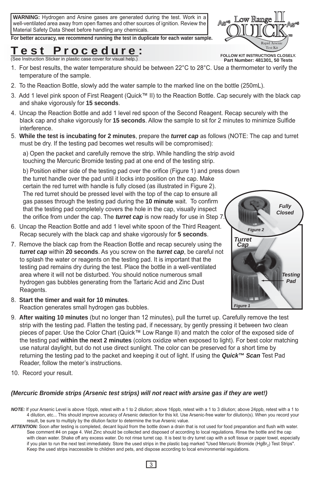**WARNING:** Hydrogen and Arsine gases are generated during the test. Work in a well-ventilated area away from open flames and other sources of ignition. Review the Material Safety Data Sheet before handling any chemicals.

**For better accuracy, we recommend running the test in duplicate for each water sample.**

## lest Procedure:

FOLLOW KIT INSTRUCTIONS CLOSELY.<br>
See Instruction Sticker in plastic case cover for visual help.) **Part Number: 481301, 50 Tests** 

- 1. For best results, the water temperature should be between  $22^{\circ}C$  to  $28^{\circ}C$ . Use a thermometer to verify the temperature of the sample.
- 2. To the Reaction Bottle, slowly add the water sample to the marked line on the bottle (250mL).
- 3. Add 1 level pink spoon of First Reagent (Quick™ II) to the Reaction Bottle. Cap securely with the black cap and shake vigorously for **15 seconds**.
- 4. Uncap the Reaction Bottle and add 1 level red spoon of the Second Reagent. Recap securely with the black cap and shake vigorously for **15 seconds**. Allow the sample to sit for 2 minutes to minimize Sulfide interference.
- 5. **While the test is incubating for 2 minutes**, prepare the *turret cap* as follows (NOTE: The cap and turret must be dry. If the testing pad becomes wet results will be compromised):

a) Open the packet and carefully remove the strip. While handling the strip avoid touching the Mercuric Bromide testing pad at one end of the testing strip.

b) Position either side of the testing pad over the orifice (Figure 1) and press down the turret handle over the pad until it locks into position on the cap. Make certain the red turret with handle is fully closed (as illustrated in Figure 2). The red turret should be pressed level with the top of the cap to ensure all gas passes through the testing pad during the **10 minute** wait. To confirm that the testing pad completely covers the hole in the cap, visually inspect the orifice from under the cap. The *turret cap* is now ready for use in Step 7.

- 6. Uncap the Reaction Bottle and add 1 level white spoon of the Third Reagent. Recap securely with the black cap and shake vigorously for **5 seconds**.
- 7. Remove the black cap from the Reaction Bottle and recap securely using the *turret cap* within **20 seconds**. As you screw on the *turret cap*, be careful not to splash the water or reagents on the testing pad. It is important that the testing pad remains dry during the test. Place the bottle in a well-ventilated area where it will not be disturbed. You should notice numerous small hydrogen gas bubbles generating from the Tartaric Acid and Zinc Dust Reagents.
- 8. **Start the timer and wait for 10 minutes**. Reaction generates small hydrogen gas bubbles.
- 9. **After waiting 10 minutes** (but no longer than 12 minutes), pull the turret up. Carefully remove the test strip with the testing pad. Flatten the testing pad, if necessary, by gently pressing it between two clean pieces of paper. Use the Color Chart (Quick™ Low Range II) and match the color of the exposed side of the testing pad **within the next 2 minutes** (colors oxidize when exposed to light). For best color matching use natural daylight, but do not use direct sunlight. The color can be preserved for a short time by returning the testing pad to the packet and keeping it out of light. If using the *Quick™ Scan* Test Pad Reader, follow the meter's instructions.
- 10. Record your result.

#### *(Mercuric Bromide strips (Arsenic test strips) will not react with arsine gas if they are wet!)*

- *NOTE:* If your Arsenic Level is above 10ppb, retest with a 1 to 2 dilution; above 16ppb, retest with a 1 to 3 dilution; above 24ppb, retest with a 1 to 4 dilution, etc... This should improve accuracy of Arsenic detection for this kit. Use Arsenic-free water for dilution(s). When you record your result, be sure to multiply by the dilution factor to determine the true Arsenic value.
- *ATTENTION:* Soon after testing is completed, decant liquid from the bottle down a drain that is not used for food preparation and flush with water. See comment #4 on page 4. Wet Zinc should be collected and disposed of according to local regulations. Rinse the bottle and the cap with clean water. Shake off any excess water. Do not rinse turret cap. It is best to dry turret cap with a soft tissue or paper towel, especially if you plan to run the next test immediately. Store the used strips in the plastic bag marked "Used Mercuric Bromide (HgBr<sub>3</sub>) Test Strips". Keep the used strips inaccessible to children and pets, and dispose according to local environmental regulations.





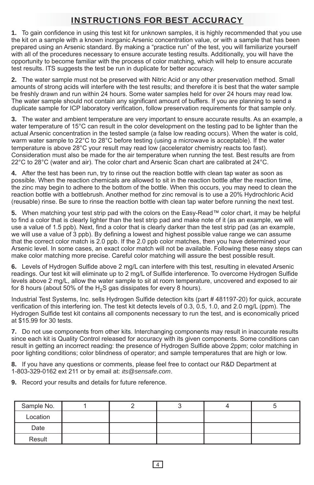## INSTRUCTIONS FOR BEST ACCURACY

**1.** To gain confidence in using this test kit for unknown samples, it is highly recommended that you use the kit on a sample with a known inorganic Arsenic concentration value, or with a sample that has been prepared using an Arsenic standard. By making a "practice run" of the test, you will familiarize yourself with all of the procedures necessary to ensure accurate testing results. Additionally, you will have the opportunity to become familiar with the process of color matching, which will help to ensure accurate test results. ITS suggests the test be run in duplicate for better accuracy.

**2.** The water sample must not be preserved with Nitric Acid or any other preservation method. Small amounts of strong acids will interfere with the test results; and therefore it is best that the water sample be freshly drawn and run within 24 hours. Some water samples held for over 24 hours may read low. The water sample should not contain any significant amount of buffers. If you are planning to send a duplicate sample for ICP laboratory verification, follow preservation requirements for that sample only.

**3.** The water and ambient temperature are very important to ensure accurate results. As an example, a water temperature of 15°C can result in the color development on the testing pad to be lighter than the actual Arsenic concentration in the tested sample (a false low reading occurs). When the water is cold, warm water sample to 22°C to 28°C before testing (using a microwave is acceptable). If the water temperature is above 28°C your result may read low (accelerator chemistry reacts too fast). Consideration must also be made for the air temperature when running the test. Best results are from 22°C to 28°C (water and air). The color chart and Arsenic Scan chart are calibrated at 24°C.

**4.** After the test has been run, try to rinse out the reaction bottle with clean tap water as soon as possible. When the reaction chemicals are allowed to sit in the reaction bottle after the reaction time, the zinc may begin to adhere to the bottom of the bottle. When this occurs, you may need to clean the reaction bottle with a bottlebrush. Another method for zinc removal is to use a 20% Hydrochloric Acid (reusable) rinse. Be sure to rinse the reaction bottle with clean tap water before running the next test.

**5.** When matching your test strip pad with the colors on the Easy-Read™ color chart, it may be helpful to find a color that is clearly lighter than the test strip pad and make note of it (as an example, we will use a value of 1.5 ppb). Next, find a color that is clearly darker than the test strip pad (as an example, we will use a value of 3 ppb). By defining a lowest and highest possible value range we can assume that the correct color match is 2.0 ppb. If the 2.0 ppb color matches, then you have determined your Arsenic level. In some cases, an exact color match will not be available. Following these easy steps can make color matching more precise. Careful color matching will assure the best possible result.

**6.** Levels of Hydrogen Sulfide above 2 mg/L can interfere with this test, resulting in elevated Arsenic readings. Our test kit will eliminate up to 2 mg/L of Sulfide interference. To overcome Hydrogen Sulfide levels above 2 mg/L, allow the water sample to sit at room temperature, uncovered and exposed to air for 8 hours (about 50% of the  $H_2S$  gas dissipates for every 8 hours).

Industrial Test Systems, Inc. sells Hydrogen Sulfide detection kits (part # 481197-20) for quick, accurate verification of this interfering ion. The test kit detects levels of 0.3, 0.5, 1.0, and 2.0 mg/L (ppm). The Hydrogen Sulfide test kit contains all components necessary to run the test, and is economically priced at \$15.99 for 30 tests.

**7.** Do not use components from other kits. Interchanging components may result in inaccurate results since each kit is Quality Control released for accuracy with its given components. Some conditions can result in getting an incorrect reading: the presence of Hydrogen Sulfide above 2ppm; color matching in poor lighting conditions; color blindness of operator; and sample temperatures that are high or low.

**8.** If you have any questions or comments, please feel free to contact our R&D Department at 1-803-329-0162 ext 211 or by email at: *its@sensafe.com*.

**9.** Record your results and details for future reference.

| Sample No. |  |  |  |
|------------|--|--|--|
| Location   |  |  |  |
| Date       |  |  |  |
| Result     |  |  |  |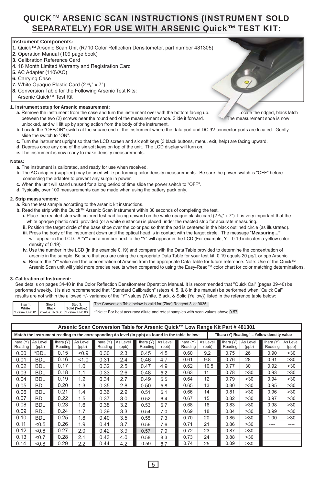## QUICK™ ARSENIC SCAN INSTRUCTIONS (INSTRUMENT SOLD SEPARATELY) FOR USE WITH ARSENIC Quick™ TEST KIT:

#### **Instrument Components:**

- **1.** Quick™ Arsenic Scan Unit (R710 Color Reflection Densitometer, part number 481305)
- **2.** Operation Manual (109 page book)
- **3.** Calibration Reference Card
- **4.** 18 Month Limited Warranty and Registration Card
- **5.** AC Adapter (110VAC)
- **6.** Carrying Case
- **7.** White Opaque Plastic Card (2 3/8" x 7")
- **8.** Conversion Table for the Following Arsenic Test Kits:
	- Arsenic Quick™ Test Kit

#### **1. Instrument setup for Arsenic measurement:**

- **a.** Remove the instrument from the case and turn the instrument over with the bottom facing up. Locate the ridged, black latch between the two (2) screws near the round end of the measurement shoe. Slide it forward. The measurement shoe is now unlocked, and will lift up by spring action from the body of the instrument.
- **b.** Locate the "OFF/ON" switch at the square end of the instrument where the data port and DC 9V connector ports are located. Gently slide the switch to "ON".
- **c.** Turn the instrument upright so that the LCD screen and six soft keys (3 black buttons, menu, exit, help) are facing upward.
- **d.** Depress once any one of the six soft keys on top of the unit. The LCD display will turn on.
- **e.** The instrument is now ready to make density measurements.

#### **Notes:**

- **a.** The instrument is calibrated, and ready for use when received.
- **b.** The AC adapter (supplied) may be used while performing color density measurements. Be sure the power switch is "OFF" before connecting the adapter to prevent any surge in power.
- **c.** When the unit will stand unused for a long period of time slide the power switch to "OFF".
- **d.** Typically, over 100 measurements can be made when using the battery pack only.

#### **2. Strip measurement:**

- **a.** Run the test sample according to the arsenic kit instructions.
- **b.** Read the strip with the Quick™ Arsenic Scan instrument within 30 seconds of completing the test.
	- **i.** Place the reacted strip with colored test pad facing upward on the white opaque plastic card  $(2 \frac{3}{8})$  x 7"). It is very important that the white opaque plastic card provided (or a white sustance) is placed under the reacted strip for accurate measuring.
	- **ii.** Position the target circle of the base shoe over the color pad so that the pad is centered in the black outlined circle (as illustrated). **iii.** Press the body of the instrument down until the optical head is in contact with the target circle. The message "**Measuring..."**
	- will appear in the LCD. A "Y" and a number next to the "Y" will appear in the LCD (For example, Y = 0.19 indicates a yellow color density of 0.19).
	- **iv.** Use the number in the LCD (in the example 0.19) and compare with the Data Table provided to determine the concentration of arsenic in the sample. Be sure that you are using the appropriate Data Table for your test kit. 0.19 equals 20 μg/L or ppb Arsenic.
	- **v.** Record the "Y" value and the concentration of Arsenic from the appropriate Data Table for future reference. Note: Use of the Quick™ Arsenic Scan unit will yield more precise results when compared to using the Easy-Read™ color chart for color matching determinations.

#### **3. Calibration of Instrument:**

 See details on pages 34-40 in the Color Reflection Densitometer Operation Manual. It is recommended that "Quick Cal" (pages 39-40) be performed weekly. It is also recommended that "Standard Calibration" (steps 4, 5, & 8 in the manual) be performed when "Quick Cal" results are not within the allowed +/- variance of the "Y" values (White, Black, & Solid {Yellow}) listed in the reference table below:

| Step 1: | Step 2:      | Step 3:                                            |  |
|---------|--------------|----------------------------------------------------|--|
| White   | <b>Black</b> | Solid (Yellow)                                     |  |
|         |              | Y value +/- 0.01 Y value +/- 0.06 Y value +/- 0.03 |  |

The Conversion Table below is valid for (Zinc) Reagent 3 lot 9035.

\*\*Note: For best accuracy dilute and retest samples with scan values above 0.57

|                      | Arsenic Scan Conversion Table for Arsenic Quick™ Low Range Kit Part # 481301                                                                   |                      |                   |                      |                   |                      |                   |                      |                   |                      |                   |                      |                   |
|----------------------|------------------------------------------------------------------------------------------------------------------------------------------------|----------------------|-------------------|----------------------|-------------------|----------------------|-------------------|----------------------|-------------------|----------------------|-------------------|----------------------|-------------------|
|                      | "Ihara (Y) Reading" = Yellow density value<br>Match the instrument reading to the corresponding As level (in ppb) as found in the table below: |                      |                   |                      |                   |                      |                   |                      |                   |                      |                   |                      |                   |
| Ihara (Y)<br>Reading | As Level<br>(ppb)                                                                                                                              | Ihara (Y)<br>Reading | As Level<br>(ppb) | Ihara (Y)<br>Reading | As Level<br>(ppb) | Ihara (Y)<br>Reading | As Level<br>(ppb) | Ihara (Y)<br>Reading | As Level<br>(ppb) | Ihara (Y)<br>Reading | As Level<br>(ppb) | Ihara (Y)<br>Reading | As Level<br>(ppb) |
| 0.00                 | *BDL                                                                                                                                           | 0.15                 | < 0.9             | 0.30                 | 2.3               | 0.45                 | 4.5               | 0.60                 | 9.2               | 0.75                 | 26                | 0.90                 | >30               |
| 0.01                 | <b>BDL</b>                                                                                                                                     | 0.16                 | 1.0               | 0.31                 | 2.4               | 0.46                 | 4.7               | 0.61                 | 9.8               | 0.76                 | 28                | 0.91                 | >30               |
| 0.02                 | <b>BDL</b>                                                                                                                                     | 0.17                 | 1.0               | 0.32                 | 2.5               | 0.47                 | 4.9               | 0.62                 | 10.5              | 0.77                 | 30                | 0.92                 | >30               |
| 0.03                 | <b>BDL</b>                                                                                                                                     | 0.18                 | 1.1               | 0.33                 | 2.6               | 0.48                 | 5.2               | 0.63                 | 11                | 0.78                 | >30               | 0.93                 | >30               |
| 0.04                 | <b>BDL</b>                                                                                                                                     | 0.19                 | 1.2               | 0.34                 | 2.7               | 0.49                 | 5.5               | 0.64                 | 12                | 0.79                 | >30               | 0.94                 | >30               |
| 0.05                 | <b>BDL</b>                                                                                                                                     | 0.20                 | 1.3               | 0.35                 | 2.8               | 0.50                 | 5.8               | 0.65                 | 13                | 0.80                 | >30               | 0.95                 | >30               |
| 0.06                 | <b>BDL</b>                                                                                                                                     | 0.21                 | 1.4               | 0.36                 | 2.9               | 0.51                 | 6.1               | 0.66                 | 14                | 0.81                 | >30               | 0.96                 | >30               |
| 0.07                 | <b>BDL</b>                                                                                                                                     | 0.22                 | 1.5               | 0.37                 | 3.0               | 0.52                 | 6.4               | 0.67                 | 15                | 0.82                 | >30               | 0.97                 | >30               |
| 0.08                 | <b>BDL</b>                                                                                                                                     | 0.23                 | 1.6               | 0.38                 | 3.2               | 0.53                 | 6.7               | 0.68                 | 16                | 0.83                 | >30               | 0.98                 | >30               |
| 0.09                 | <b>BDL</b>                                                                                                                                     | 0.24                 | 1.7               | 0.39                 | 3.3               | 0.54                 | 7.0               | 0.69                 | 18                | 0.84                 | >30               | 0.99                 | >30               |
| 0.10                 | <b>BDL</b>                                                                                                                                     | 0.25                 | 1.8               | 0.40                 | 3.5               | 0.55                 | 7.3               | 0.70                 | 20                | 0.85                 | >30               | 1.00                 | >30               |
| 0.11                 | < 0.5                                                                                                                                          | 0.26                 | 1.9               | 0.41                 | 3.7               | 0.56                 | 7.6               | 0.71                 | 21                | 0.86                 | >30               | ----                 | ----              |
| 0.12                 | $-0.6$                                                                                                                                         | 0.27                 | 2.0               | 0.42                 | 3.9               | 0.57                 | 7.9               | 0.72                 | 23                | 0.87                 | >30               |                      |                   |
| 0.13                 | < 0.7                                                                                                                                          | 0.28                 | 2.1               | 0.43                 | 4.0               | 0.58                 | 8.3               | 0.73                 | 24                | 0.88                 | >30               |                      |                   |
| 0.14                 | $0.8 -$                                                                                                                                        | 0.29                 | 2.2               | 0.44                 | 4.2               | 0.59                 | 8.7               | 0.74                 | 25                | 0.89                 | >30               |                      |                   |

05)<br>p.<br>p.<br>Locate the ridged, black latch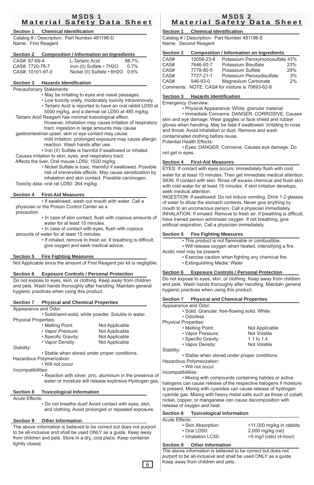#### MSDS 1 Material Safety Data Sheet

#### **Section 1 Chemical Identification**

Catalog # / Description: Part Number 481196-D Name: First Reagent

#### **Section 2 Composition / Information on Ingredients**

| CAS#: 87-69-4    | L-Tartaric Acid                 | 98.7% |
|------------------|---------------------------------|-------|
| CAS#: 7720-78-7  | Iron (II) Sulfate • 7H2O        | 0.7%  |
| CAS#: 10101-97-0 | Nickel (II) Sulfate • 6H2O 0.6% |       |
|                  |                                 |       |

#### **Section 3 Hazards Identification**

#### Precautionary Statements:

- May be irritating to eyes and nasal passages.
- Low toxicity orally, moderately toxicity intravenously.
- Tartaric Acid is reported to have an oral rabbit LD50 at 5000 mg/kg, and a dermal rat LD50 at 485 mg/kg.
- Tartaric Acid Reagent has minimal toxicological effect. However, inhalation may cause irritation of respiratory tract; ingestion in large amounts may cause
- gastrointestinal upset; skin or eye contact may cause
	- mild irritation; prolonged exposure may cause allergic reaction. Wash hands after use.
- Iron (II) Sulfate is harmful if swallowed or inhaled. Causes irritation to skin, eyes, and respiratory tract.

Affects the liver. Oral mouse LD50: 1520 mg/kg.

 • Nickel Sulfate is toxic. Harmful if swallowed. Possible risk of irreversible effects. May cause sensitization by inhalation and skin contact. Possible carcinogen. Toxicity data: oral rat LD50: 264 mg/kg.

#### **Section 4 First-Aid Measures**

 • If swallowed, wash out mouth with water. Call a physician or the Poison Control Center as a

- precaution.
	- In case of skin contact, flush with copious amounts of water for at least 15 minutes.
	- In case of contact with eyes, flush with copious
- amounts of water for at least 15 minutes.
	- If inhaled, remove to fresh air. If breathing is difficult, give oxygen and seek medical advice.

#### **Section 5 Fire Fighting Measures**

Not Applicable since the amount of First Reagent per kit is negligible.

#### **Section 6 Exposure Controls / Personal Protection**

Do not expose to eyes, skin, or clothing. Keep away from children and pets. Wash hands thoroughly after handling. Maintain general hygienic practices when using this product.

#### **Section 7 Physical and Chemical Properties**

Appearance and Odor:

 • Solid/semi-solid, white powder. Soluble in water. Physical Properties:

| • Melting Point:    | Not Applicable |
|---------------------|----------------|
| • Vapor Pressure:   | Not Applicable |
| • Specific Gravity: | Not Applicable |
| • Vapor Density:    | Not Applicable |

Stability:

• Stable when stored under proper conditions.

Hazardous Polymerization:

• Will not occur.

- Incompatibilities:
	- Reaction with silver, zinc, aluminum in the presence of water or moisture will release explosive Hydrogen gas.

#### **Section 8 Toxicological Information**

Acute Effects:

 • Do not breathe dust! Avoid contact with eyes, skin, and clothing. Avoid prolonged or repeated exposure.

#### **Section 9 Other Information**

The above information is believed to be correct but does not purport to be all-inclusive and shall be used ONLY as a guide. Keep away from children and pets. Store in a dry, cool place. Keep container tightly closed.

#### MSDS 2 Material Safety Data Sheet

### **Section 1 Chemical Identification**

Catalog # / Description: Part Number 481196-E Name: Second Reagent

| <b>Section 2</b> |            | <b>Composition / Information on Ingredients</b> |     |
|------------------|------------|-------------------------------------------------|-----|
| CAS#             | 10058-23-8 | Potassium Peroxymonosulfate 43%                 |     |
| CAS#             | 7646-93-7  | Potassium Bisulfate                             | 23% |
| CAS#             | 7778-80-5  | Potassium Sulfate                               | 29% |
| CAS#             | 7727-21-1  | Potassium Peroxydisulfate                       | 3%  |
| CAS#             | 546-93-0   | Magnesium Carbonate                             | 2%  |
|                  |            | Comments: NOTE: CAS# for mixture is 70693-62-8  |     |

#### **Section 3 Hazards Identification**

Emergency Overview:

• Physical Appearance: White, granular material

 • Immediate Concerns: DANGER. CORROSIVE. Causes skin and eye damage. Wear goggles or face shield and rubber gloves when handling. May be fatal if swallowed. Irritating to nose and throat. Avoid inhalation or dust. Remove and wash contaminated clothing before reuse.

Potential Health Effects:

 • Eyes: DANGER. Corrosive. Causes eye damage. Do not get in eyes.

#### **Section 4 First-Aid Measures**

EYES: If contact with eyes occurs: Immediately flush with cold water for at least 15 minutes. Then get immediate medical attention. SKIN: If contact with skin: Rinse off excess chemical and flush skin with cold water for at least 15 minutes. If skin irritation develops, seek medical attention.

INGESTION: If swallowed: Do not induce vomiting. Drink 1-2 glasses of water to dilute the stomach contents. Never give anything by mouth to an unconscious person. Call a physician immediately. INHALATION: If inhaled: Remove to fresh air. If breathing is difficult, have trained person administer oxygen. If not breathing, give artificial respiration. Call a physician immediately.

#### **Section 5 Fire Fighting Measures**

• This product is not flammable or combustible.

- Will release oxygen when heated, intensifying a fire.
- Acidic mist may be present.
	- Exercise caution when fighting any chemical fire. • Extinguishing Media: Water

#### **Section 6 Exposure Controls / Personal Protection**

Do not expose to eyes, skin, or clothing. Keep away from children and pets. Wash hands thoroughly after handling. Maintain general hygienic practices when using this product.

| Section 7            | <b>Physical and Chemical Properties</b>       |
|----------------------|-----------------------------------------------|
| Appearance and Odor: |                                               |
|                      | · Solid. Granular, free-flowing solid. White. |

• Odorless

Physical Properties:

|        | • Melting Point:    | Not Applicable |
|--------|---------------------|----------------|
|        | • Vapor Pressure:   | Not Volatile   |
|        | • Specific Gravity: | 1.1 to 1.4     |
|        | • Vapor Density:    | Not Volatile   |
| $\sim$ |                     |                |

Stability:

• Stable when stored under proper conditions.

Hazardous Polymerization:

 • Will not occur. Incompatibilities:

 • Mixing with compounds containing halides or active halogens can cause release of the respective halogens if moisture is present. Mixing with cyanides can cause release of hydrogen cyanide gas. Mixing with heavy metal salts such as those of cobalt, nickel, copper, or manganese can cause decomposition with release of oxygen and heat.

#### **Section 8 Toxicological Information**

| Acute Effects:     |                          |
|--------------------|--------------------------|
| • Skin Absorption: | >11,000 mg/kg in rabbits |
| $\cdot$ Oral LD50: | $2,000$ mg/kg (rat)      |
| • Inhalation LC50: | >5 mg/l (rats) (4-hour)  |

#### **Section 9 Other Information**

The above information is believed to be correct but does not purport to be all-inclusive and shall be used ONLY as a guide. Keep away from children and pets.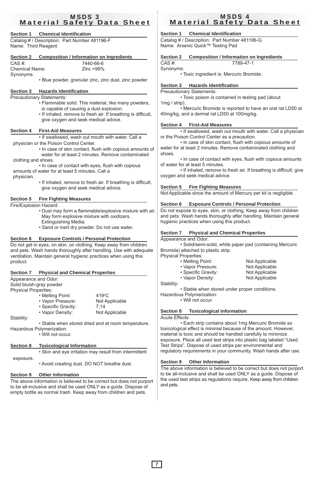#### MSDS 3 Material Safety Data Sheet

#### **Section 1 Chemical Identification**

Catalog # / Description: Part Number 481196-F Name: Third Reagent

| Section 2      | <b>Composition / Information on Ingredients</b> |
|----------------|-------------------------------------------------|
| $CAS \#$       | 7440-66-6                                       |
| Chemical Name: | $Zinc > 99\%$                                   |

Synonyms:

• Blue powder, granular zinc, zinc dust, zinc powder

#### **Section 3 Hazards Identification**

#### Precautionary Statements:

- Flammable solid. This material, like many powders, is capable of causing a dust explosion.
- If inhaled, remove to fresh air. If breathing is difficult, give oxygen and seek medical advice.

#### **Section 4 First-Aid Measures**

 • If swallowed, wash out mouth with water. Call a physician or the Poison Control Center.

- In case of skin contact, flush with copious amounts of water for at least 2 minutes. Remove contaminated clothing and shoes.
- In case of contact with eyes, flush with copious amounts of water for at least 5 minutes. Call a

physician.

 • If inhaled, remove to fresh air. If breathing is difficult, give oxygen and seek medical advice.

#### **Section 5 Fire Fighting Measures**

Fire/Explosion Hazard:

- Dust may form a flammable/explosive mixture with air. May form explosive mixture with oxidizers. Extinguishing Media:
- Sand or inert dry powder. Do not use water.

#### **Section 6 Exposure Controls / Personal Protection**

Do not get in eyes, on skin, on clothing. Keep away from children and pets. Wash hands thoroughly after handling. Use with adequate ventilation. Maintain general hygienic practices when using this product.

#### **Section 7 Physical and Chemical Properties**

Appearance and Odor:

Solid bluish-gray powder Physical Properties:

|          | • Melting Point:    | $419^{\circ}$ C |
|----------|---------------------|-----------------|
|          | • Vapor Pressure:   | Not Applicable  |
|          | • Specific Gravity: | 7.14            |
|          | • Vapor Density:    | Not Applicable  |
| $\sim$ . |                     |                 |

Stability:

• Stable when stored dried and at room temperature. Hazardous Polymerization:

• Will not occur.

#### **Section 8 Toxicological Information**

• Skin and eye irritation may result from intermittent exposure.

• Avoid creating dust. DO NOT breathe dust.

#### **Section 9 Other Information**

The above information is believed to be correct but does not purport to be all-inclusive and shall be used ONLY as a guide. Dispose of empty bottle as normal trash. Keep away from children and pets.

#### MSDS 4 Material Safety Data Sheet

#### **Section 1 Chemical Identification**

Catalog # / Description: Part Number 481196-G Name: Arsenic Quick™ Testing Pad

| <b>Composition / Information on Ingredients</b><br><b>Section 2</b> |
|---------------------------------------------------------------------|
|---------------------------------------------------------------------|

CAS #: 7789-47-1 Synonyms:

• Toxic ingredient is: Mercuric Bromide.

#### **Section 3 Hazards Identification**

Precautionary Statements: • Toxic poison is contained in testing pad (about 1mg / strip).

 • Mercuric Bromide is reported to have an oral rat LD50 at 40mg/kg, and a dermal rat LD50 at 100mg/kg.

#### **Section 4 First-Aid Measures**

 • If swallowed, wash out mouth with water. Call a physician or the Poison Control Center as a precaution.

 • In case of skin contact, flush with copious amounts of water for at least 2 minutes. Remove contaminated clothing and shoes.

 • In case of contact with eyes, flush with copious amounts of water for at least 5 minutes.

 • If inhaled, remove to fresh air. If breathing is difficult, give oxygen and seek medical advice.

#### **Section 5 Fire Fighting Measures**

Not Applicable since the amount of Mercury per kit is negligible.

#### **Section 6 Exposure Controls / Personal Protection**

Do not expose to eyes, skin, or clothing. Keep away from children and pets. Wash hands thoroughly after handling. Maintain general hygienic practices when using this product.

#### **Section 7 Physical and Chemical Properties**

Appearance and Odor:

 • Solid/semi-solid, white paper pad (containing Mercuric Bromide) attached to plastic strip.

Physical Properties:

| • Melting Point:    | Not Applicable |
|---------------------|----------------|
| • Vapor Pressure:   | Not Applicable |
| • Specific Gravity: | Not Applicable |
| • Vapor Density:    | Not Applicable |

Stability:

• Stable when stored under proper conditions.

Hazardous Polymerization:

• Will not occur.

#### **Section 8 Toxicological Information**

Acute Effects:

 • Each strip contains about 1mg Mercuric Bromide so toxicological effect is minimal because of the amount. However, material is toxic and should be handled carefully to minimize exposure. Place all used test strips into plastic bag labeled "Used Test Strips". Dispose of used strips per environmental and regulatory requirements in your community. Wash hands after use.

#### **Section 9 Other Information**

The above information is believed to be correct but does not purport to be all-inclusive and shall be used ONLY as a guide. Dispose of the used test strips as regulations require. Keep away from children and pets.